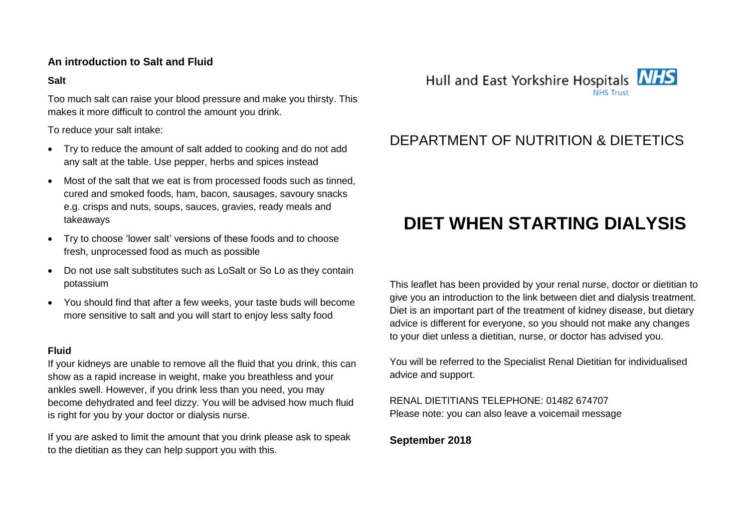### **An introduction to Salt and Fluid**

### **Salt**

Too much salt can raise your blood pressure and make you thirsty. This makes it more difficult to control the amount you drink.

To reduce your salt intake:

- Try to reduce the amount of salt added to cooking and do not add any salt at the table. Use pepper, herbs and spices instead
- Most of the salt that we eat is from processed foods such as tinned, cured and smoked foods, ham, bacon, sausages, savoury snacks e.g. crisps and nuts, soups, sauces, gravies, ready meals and takeaways
- Try to choose 'lower salt' versions of these foods and to choose fresh, unprocessed food as much as possible
- Do not use salt substitutes such as LoSalt or So Lo as they contain potassium
- You should find that after a few weeks, your taste buds will become more sensitive to salt and you will start to enjoy less salty food

#### **Fluid**

If your kidneys are unable to remove all the fluid that you drink, this can show as a rapid increase in weight, make you breathless and your ankles swell. However, if you drink less than you need, you may become dehydrated and feel dizzy. You will be advised how much fluid is right for you by your doctor or dialysis nurse.

If you are asked to limit the amount that you drink please ask to speak to the dietitian as they can help support you with this.



## DEPARTMENT OF NUTRITION & DIETETICS

# **DIET WHEN STARTING DIALYSIS**

This leaflet has been provided by your renal nurse, doctor or dietitian to give you an introduction to the link between diet and dialysis treatment. Diet is an important part of the treatment of kidney disease, but dietary advice is different for everyone, so you should not make any changes to your diet unless a dietitian, nurse, or doctor has advised you.

You will be referred to the Specialist Renal Dietitian for individualised advice and support.

RENAL DIETITIANS TELEPHONE: 01482 674707 Please note: you can also leave a voicemail message

**September 2018**